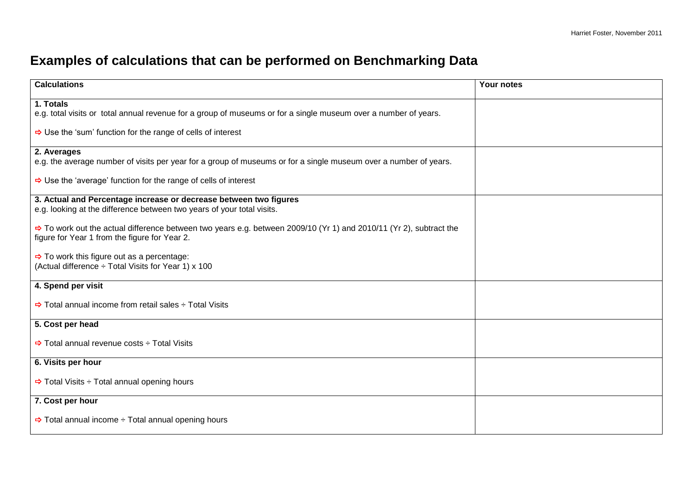## **Examples of calculations that can be performed on Benchmarking Data**

| <b>Calculations</b>                                                                                                                                                             | Your notes |
|---------------------------------------------------------------------------------------------------------------------------------------------------------------------------------|------------|
| 1. Totals                                                                                                                                                                       |            |
| e.g. total visits or total annual revenue for a group of museums or for a single museum over a number of years.                                                                 |            |
| $\Rightarrow$ Use the 'sum' function for the range of cells of interest                                                                                                         |            |
| 2. Averages                                                                                                                                                                     |            |
| e.g. the average number of visits per year for a group of museums or for a single museum over a number of years.                                                                |            |
| $\Rightarrow$ Use the 'average' function for the range of cells of interest                                                                                                     |            |
| 3. Actual and Percentage increase or decrease between two figures<br>e.g. looking at the difference between two years of your total visits.                                     |            |
|                                                                                                                                                                                 |            |
| $\Rightarrow$ To work out the actual difference between two years e.g. between 2009/10 (Yr 1) and 2010/11 (Yr 2), subtract the<br>figure for Year 1 from the figure for Year 2. |            |
| $\Rightarrow$ To work this figure out as a percentage:                                                                                                                          |            |
| (Actual difference ÷ Total Visits for Year 1) x 100                                                                                                                             |            |
| 4. Spend per visit                                                                                                                                                              |            |
| $\Rightarrow$ Total annual income from retail sales $\div$ Total Visits                                                                                                         |            |
| 5. Cost per head                                                                                                                                                                |            |
| $\Rightarrow$ Total annual revenue costs $\div$ Total Visits                                                                                                                    |            |
| 6. Visits per hour                                                                                                                                                              |            |
| $\Rightarrow$ Total Visits $\div$ Total annual opening hours                                                                                                                    |            |
| 7. Cost per hour                                                                                                                                                                |            |
| $\Rightarrow$ Total annual income $\div$ Total annual opening hours                                                                                                             |            |